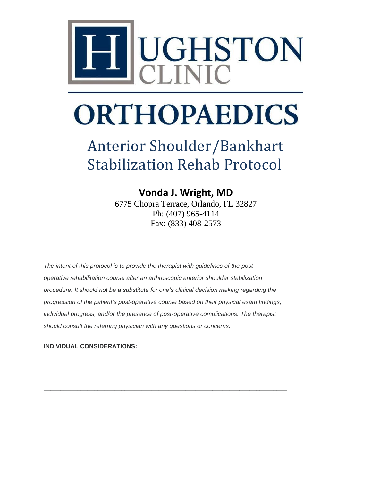

## Anterior Shoulder/Bankhart Stabilization Rehab Protocol

**Vonda J. Wright, MD** 6775 Chopra Terrace, Orlando, FL 32827 Ph: (407) 965-4114 Fax: (833) 408-2573

*The intent of this protocol is to provide the therapist with guidelines of the postoperative rehabilitation course after an arthroscopic anterior shoulder stabilization procedure. It should not be a substitute for one's clinical decision making regarding the progression of the patient's post-operative course based on their physical exam findings, individual progress, and/or the presence of post-operative complications. The therapist should consult the referring physician with any questions or concerns.*

\_\_\_\_\_\_\_\_\_\_\_\_\_\_\_\_\_\_\_\_\_\_\_\_\_\_\_\_\_\_\_\_\_\_\_\_\_\_\_\_\_\_\_\_\_\_\_\_\_\_\_\_\_\_\_\_\_\_\_\_\_\_\_\_\_\_\_\_\_\_\_\_

\_\_\_\_\_\_\_\_\_\_\_\_\_\_\_\_\_\_\_\_\_\_\_\_\_\_\_\_\_\_\_\_\_\_\_\_\_\_\_\_\_\_\_\_\_\_\_\_\_\_\_\_\_\_\_\_\_\_\_\_\_\_\_\_\_\_\_\_\_\_\_\_

#### **INDIVIDUAL CONSIDERATIONS:**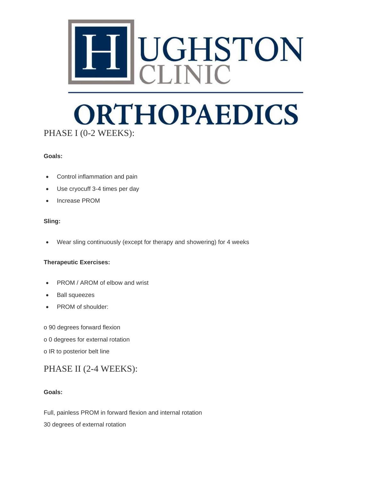

## **ORTHOPAEDICS** PHASE I (0-2 WEEKS):

#### **Goals:**

- Control inflammation and pain
- Use cryocuff 3-4 times per day
- Increase PROM

#### **Sling:**

• Wear sling continuously (except for therapy and showering) for 4 weeks

#### **Therapeutic Exercises:**

- PROM / AROM of elbow and wrist
- Ball squeezes
- PROM of shoulder:
- o 90 degrees forward flexion
- o 0 degrees for external rotation
- o IR to posterior belt line

### PHASE II (2-4 WEEKS):

#### **Goals:**

Full, painless PROM in forward flexion and internal rotation

30 degrees of external rotation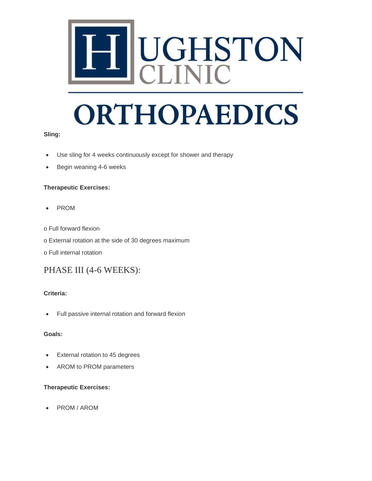

#### **Sling:**

- Use sling for 4 weeks continuously except for shower and therapy
- Begin weaning 4-6 weeks

#### **Therapeutic Exercises:**

- PROM
- o Full forward flexion
- o External rotation at the side of 30 degrees maximum
- o Full internal rotation

### PHASE III (4-6 WEEKS):

#### **Criteria:**

• Full passive internal rotation and forward flexion

#### **Goals:**

- External rotation to 45 degrees
- AROM to PROM parameters

#### **Therapeutic Exercises:**

• PROM / AROM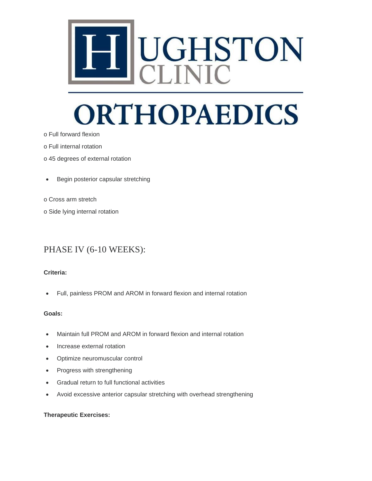

- o Full forward flexion
- o Full internal rotation
- o 45 degrees of external rotation
- Begin posterior capsular stretching
- o Cross arm stretch
- o Side lying internal rotation

### PHASE IV (6-10 WEEKS):

#### **Criteria:**

• Full, painless PROM and AROM in forward flexion and internal rotation

#### **Goals:**

- Maintain full PROM and AROM in forward flexion and internal rotation
- Increase external rotation
- Optimize neuromuscular control
- Progress with strengthening
- Gradual return to full functional activities
- Avoid excessive anterior capsular stretching with overhead strengthening

#### **Therapeutic Exercises:**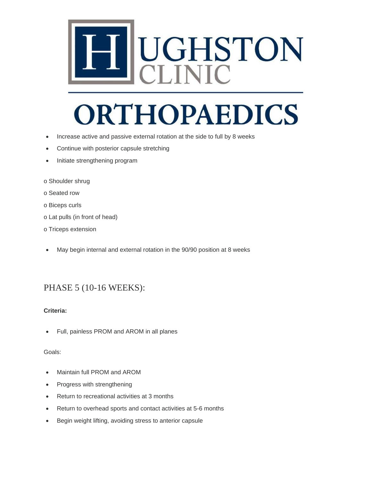

- Increase active and passive external rotation at the side to full by 8 weeks
- Continue with posterior capsule stretching
- Initiate strengthening program
- o Shoulder shrug
- o Seated row
- o Biceps curls
- o Lat pulls (in front of head)
- o Triceps extension
- May begin internal and external rotation in the 90/90 position at 8 weeks

### PHASE 5 (10-16 WEEKS):

#### **Criteria:**

• Full, painless PROM and AROM in all planes

#### Goals:

- Maintain full PROM and AROM
- Progress with strengthening
- Return to recreational activities at 3 months
- Return to overhead sports and contact activities at 5-6 months
- Begin weight lifting, avoiding stress to anterior capsule